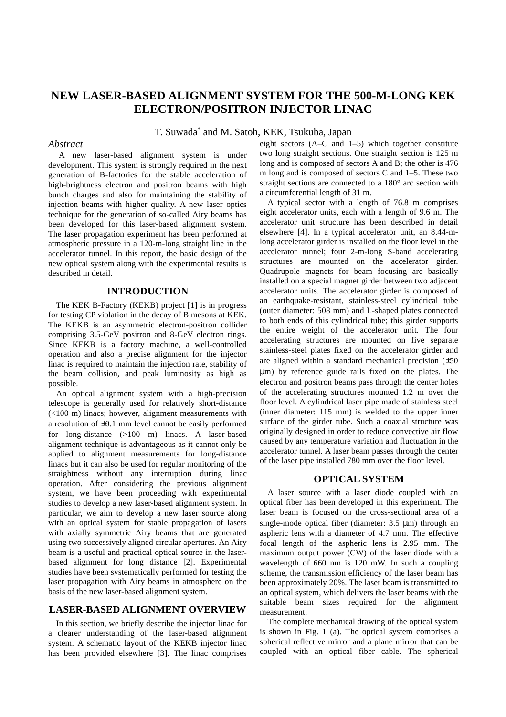# **NEW LASER-BASED ALIGNMENT SYSTEM FOR THE 500-M-LONG KEK ELECTRON/POSITRON INJECTOR LINAC**

T. Suwada\* and M. Satoh, KEK*,* Tsukuba, Japan

# *Abstract*

A new laser-based alignment system is under development. This system is strongly required in the next generation of B-factories for the stable acceleration of high-brightness electron and positron beams with high bunch charges and also for maintaining the stability of injection beams with higher quality. A new laser optics technique for the generation of so-called Airy beams has been developed for this laser-based alignment system. The laser propagation experiment has been performed at atmospheric pressure in a 120-m-long straight line in the accelerator tunnel. In this report, the basic design of the new optical system along with the experimental results is described in detail.

#### **INTRODUCTION**

The KEK B-Factory (KEKB) project [1] is in progress for testing CP violation in the decay of B mesons at KEK. The KEKB is an asymmetric electron-positron collider comprising 3.5-GeV positron and 8-GeV electron rings. Since KEKB is a factory machine, a well-controlled operation and also a precise alignment for the injector linac is required to maintain the injection rate, stability of the beam collision, and peak luminosity as high as possible.

An optical alignment system with a high-precision telescope is generally used for relatively short-distance (<100 m) linacs; however, alignment measurements with a resolution of  $\pm 0.1$  mm level cannot be easily performed for long-distance (>100 m) linacs. A laser-based alignment technique is advantageous as it cannot only be applied to alignment measurements for long-distance linacs but it can also be used for regular monitoring of the straightness without any interruption during linac operation. After considering the previous alignment system, we have been proceeding with experimental studies to develop a new laser-based alignment system. In particular, we aim to develop a new laser source along with an optical system for stable propagation of lasers with axially symmetric Airy beams that are generated using two successively aligned circular apertures. An Airy beam is a useful and practical optical source in the laserbased alignment for long distance [2]. Experimental studies have been systematically performed for testing the laser propagation with Airy beams in atmosphere on the basis of the new laser-based alignment system.

# **LASER-BASED ALIGNMENT OVERVIEW**

In this section, we briefly describe the injector linac for a clearer understanding of the laser-based alignment system. A schematic layout of the KEKB injector linac has been provided elsewhere [3]. The linac comprises eight sectors (A–C and 1–5) which together constitute two long straight sections. One straight section is 125 m long and is composed of sectors A and B; the other is 476 m long and is composed of sectors C and 1–5. These two straight sections are connected to a 180° arc section with a circumferential length of 31 m.

A typical sector with a length of 76.8 m comprises eight accelerator units, each with a length of 9.6 m. The accelerator unit structure has been described in detail elsewhere [4]. In a typical accelerator unit, an 8.44-mlong accelerator girder is installed on the floor level in the accelerator tunnel; four 2-m-long S-band accelerating structures are mounted on the accelerator girder. Quadrupole magnets for beam focusing are basically installed on a special magnet girder between two adjacent accelerator units. The accelerator girder is composed of an earthquake-resistant, stainless-steel cylindrical tube (outer diameter: 508 mm) and L-shaped plates connected to both ends of this cylindrical tube; this girder supports the entire weight of the accelerator unit. The four accelerating structures are mounted on five separate stainless-steel plates fixed on the accelerator girder and are aligned within a standard mechanical precision  $(+50)$ µm) by reference guide rails fixed on the plates. The electron and positron beams pass through the center holes of the accelerating structures mounted 1.2 m over the floor level. A cylindrical laser pipe made of stainless steel (inner diameter: 115 mm) is welded to the upper inner surface of the girder tube. Such a coaxial structure was originally designed in order to reduce convective air flow caused by any temperature variation and fluctuation in the accelerator tunnel. A laser beam passes through the center of the laser pipe installed 780 mm over the floor level.

### **OPTICAL SYSTEM**

A laser source with a laser diode coupled with an optical fiber has been developed in this experiment. The laser beam is focused on the cross-sectional area of a single-mode optical fiber (diameter:  $3.5 \mu$ m) through an aspheric lens with a diameter of 4.7 mm. The effective focal length of the aspheric lens is 2.95 mm. The maximum output power (CW) of the laser diode with a wavelength of 660 nm is 120 mW. In such a coupling scheme, the transmission efficiency of the laser beam has been approximately 20%. The laser beam is transmitted to an optical system, which delivers the laser beams with the suitable beam sizes required for the alignment measurement.

The complete mechanical drawing of the optical system is shown in Fig. 1 (a). The optical system comprises a spherical reflective mirror and a plane mirror that can be coupled with an optical fiber cable. The spherical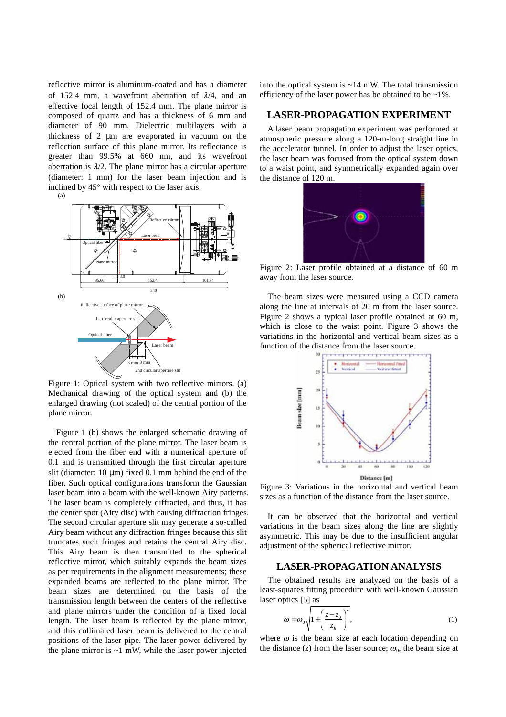reflective mirror is aluminum-coated and has a diameter of 152.4 mm, a wavefront aberration of  $\lambda/4$ , and an effective focal length of 152.4 mm. The plane mirror is composed of quartz and has a thickness of 6 mm and diameter of 90 mm. Dielectric multilayers with a thickness of 2 µm are evaporated in vacuum on the reflection surface of this plane mirror. Its reflectance is greater than 99.5% at 660 nm, and its wavefront aberration is  $\lambda/2$ . The plane mirror has a circular aperture (diameter: 1 mm) for the laser beam injection and is inclined by 45° with respect to the laser axis.





Figure 1: Optical system with two reflective mirrors. (a) Mechanical drawing of the optical system and (b) the enlarged drawing (not scaled) of the central portion of the plane mirror.

Figure 1 (b) shows the enlarged schematic drawing of the central portion of the plane mirror. The laser beam is ejected from the fiber end with a numerical aperture of 0.1 and is transmitted through the first circular aperture slit (diameter:  $10 \mu m$ ) fixed 0.1 mm behind the end of the fiber. Such optical configurations transform the Gaussian laser beam into a beam with the well-known Airy patterns. The laser beam is completely diffracted, and thus, it has the center spot (Airy disc) with causing diffraction fringes. The second circular aperture slit may generate a so-called Airy beam without any diffraction fringes because this slit truncates such fringes and retains the central Airy disc. This Airy beam is then transmitted to the spherical reflective mirror, which suitably expands the beam sizes as per requirements in the alignment measurements; these expanded beams are reflected to the plane mirror. The beam sizes are determined on the basis of the transmission length between the centers of the reflective and plane mirrors under the condition of a fixed focal length. The laser beam is reflected by the plane mirror, and this collimated laser beam is delivered to the central positions of the laser pipe. The laser power delivered by the plane mirror is  $\sim$ 1 mW, while the laser power injected

into the optical system is  $\sim$  14 mW. The total transmission efficiency of the laser power has be obtained to be  $\sim$ 1%.

#### **LASER-PROPAGATION EXPERIMENT**

A laser beam propagation experiment was performed at atmospheric pressure along a 120-m-long straight line in the accelerator tunnel. In order to adjust the laser optics, the laser beam was focused from the optical system down to a waist point, and symmetrically expanded again over the distance of 120 m.



Figure 2: Laser profile obtained at a distance of 60 m away from the laser source.

The beam sizes were measured using a CCD camera along the line at intervals of 20 m from the laser source. Figure 2 shows a typical laser profile obtained at 60 m, which is close to the waist point. Figure 3 shows the variations in the horizontal and vertical beam sizes as a function of the distance from the laser source.



Figure 3: Variations in the horizontal and vertical beam sizes as a function of the distance from the laser source.

It can be observed that the horizontal and vertical variations in the beam sizes along the line are slightly asymmetric. This may be due to the insufficient angular adjustment of the spherical reflective mirror.

#### **LASER-PROPAGATION ANALYSIS**

The obtained results are analyzed on the basis of a least-squares fitting procedure with well-known Gaussian laser optics [5] as

$$
\omega = \omega_0 \sqrt{1 + \left(\frac{z - z_0}{z_R}\right)^2},\tag{1}
$$

where  $\omega$  is the beam size at each location depending on the distance  $(z)$  from the laser source;  $\omega_0$ , the beam size at